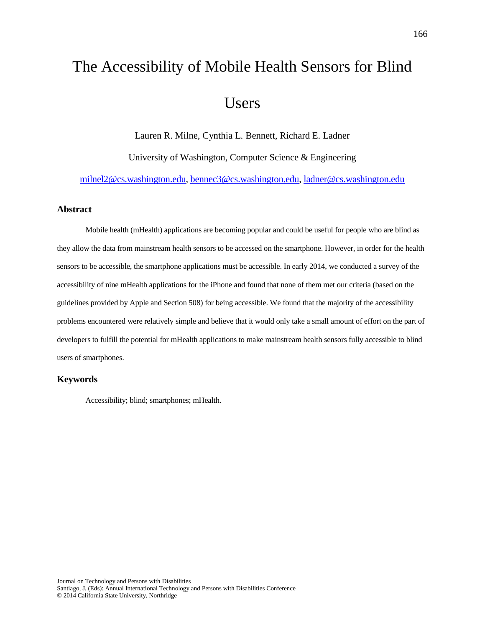# The Accessibility of Mobile Health Sensors for Blind Users

Lauren R. Milne, Cynthia L. Bennett, Richard E. Ladner University of Washington, Computer Science & Engineering

[milnel2@cs.washington.edu,](mailto:milnel2@cs.washington.edu) [bennec3@cs.washington.edu,](mailto:bennec3@cs.washington.edu) [ladner@cs.washington.edu](mailto:ladner@cs.washington.edu)

#### **Abstract**

Mobile health (mHealth) applications are becoming popular and could be useful for people who are blind as they allow the data from mainstream health sensors to be accessed on the smartphone. However, in order for the health sensors to be accessible, the smartphone applications must be accessible. In early 2014, we conducted a survey of the accessibility of nine mHealth applications for the iPhone and found that none of them met our criteria (based on the guidelines provided by Apple and Section 508) for being accessible. We found that the majority of the accessibility problems encountered were relatively simple and believe that it would only take a small amount of effort on the part of developers to fulfill the potential for mHealth applications to make mainstream health sensors fully accessible to blind users of smartphones.

#### **Keywords**

Accessibility; blind; smartphones; mHealth.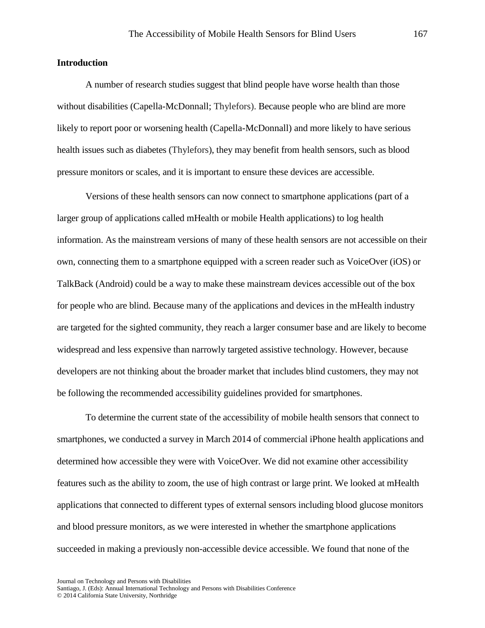### **Introduction**

A number of research studies suggest that blind people have worse health than those without disabilities (Capella-McDonnall; Thylefors). Because people who are blind are more likely to report poor or worsening health (Capella-McDonnall) and more likely to have serious health issues such as diabetes (Thylefors), they may benefit from health sensors, such as blood pressure monitors or scales, and it is important to ensure these devices are accessible.

Versions of these health sensors can now connect to smartphone applications (part of a larger group of applications called mHealth or mobile Health applications) to log health information. As the mainstream versions of many of these health sensors are not accessible on their own, connecting them to a smartphone equipped with a screen reader such as VoiceOver (iOS) or TalkBack (Android) could be a way to make these mainstream devices accessible out of the box for people who are blind. Because many of the applications and devices in the mHealth industry are targeted for the sighted community, they reach a larger consumer base and are likely to become widespread and less expensive than narrowly targeted assistive technology. However, because developers are not thinking about the broader market that includes blind customers, they may not be following the recommended accessibility guidelines provided for smartphones.

To determine the current state of the accessibility of mobile health sensors that connect to smartphones, we conducted a survey in March 2014 of commercial iPhone health applications and determined how accessible they were with VoiceOver. We did not examine other accessibility features such as the ability to zoom, the use of high contrast or large print. We looked at mHealth applications that connected to different types of external sensors including blood glucose monitors and blood pressure monitors, as we were interested in whether the smartphone applications succeeded in making a previously non-accessible device accessible. We found that none of the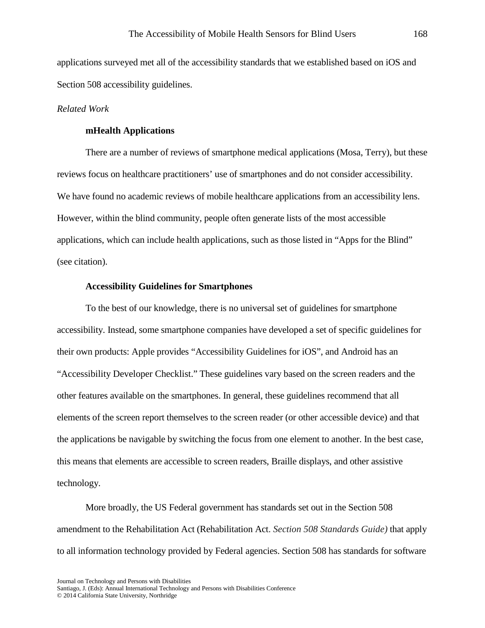applications surveyed met all of the accessibility standards that we established based on iOS and Section 508 accessibility guidelines.

## *Related Work*

# **mHealth Applications**

There are a number of reviews of smartphone medical applications (Mosa, Terry), but these reviews focus on healthcare practitioners' use of smartphones and do not consider accessibility. We have found no academic reviews of mobile healthcare applications from an accessibility lens. However, within the blind community, people often generate lists of the most accessible applications, which can include health applications, such as those listed in "Apps for the Blind" (see citation).

#### **Accessibility Guidelines for Smartphones**

To the best of our knowledge, there is no universal set of guidelines for smartphone accessibility. Instead, some smartphone companies have developed a set of specific guidelines for their own products: Apple provides "Accessibility Guidelines for iOS", and Android has an "Accessibility Developer Checklist." These guidelines vary based on the screen readers and the other features available on the smartphones. In general, these guidelines recommend that all elements of the screen report themselves to the screen reader (or other accessible device) and that the applications be navigable by switching the focus from one element to another. In the best case, this means that elements are accessible to screen readers, Braille displays, and other assistive technology.

More broadly, the US Federal government has standards set out in the Section 508 amendment to the Rehabilitation Act (Rehabilitation Act. *Section 508 Standards Guide)* that apply to all information technology provided by Federal agencies. Section 508 has standards for software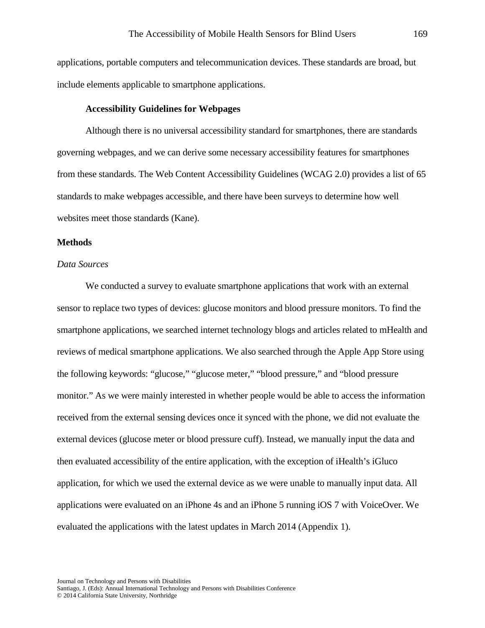applications, portable computers and telecommunication devices. These standards are broad, but include elements applicable to smartphone applications.

#### **Accessibility Guidelines for Webpages**

Although there is no universal accessibility standard for smartphones, there are standards governing webpages, and we can derive some necessary accessibility features for smartphones from these standards. The Web Content Accessibility Guidelines (WCAG 2.0) provides a list of 65 standards to make webpages accessible, and there have been surveys to determine how well websites meet those standards (Kane).

#### **Methods**

#### *Data Sources*

We conducted a survey to evaluate smartphone applications that work with an external sensor to replace two types of devices: glucose monitors and blood pressure monitors. To find the smartphone applications, we searched internet technology blogs and articles related to mHealth and reviews of medical smartphone applications. We also searched through the Apple App Store using the following keywords: "glucose," "glucose meter," "blood pressure," and "blood pressure monitor." As we were mainly interested in whether people would be able to access the information received from the external sensing devices once it synced with the phone, we did not evaluate the external devices (glucose meter or blood pressure cuff). Instead, we manually input the data and then evaluated accessibility of the entire application, with the exception of iHealth's iGluco application, for which we used the external device as we were unable to manually input data. All applications were evaluated on an iPhone 4s and an iPhone 5 running iOS 7 with VoiceOver. We evaluated the applications with the latest updates in March 2014 (Appendix 1).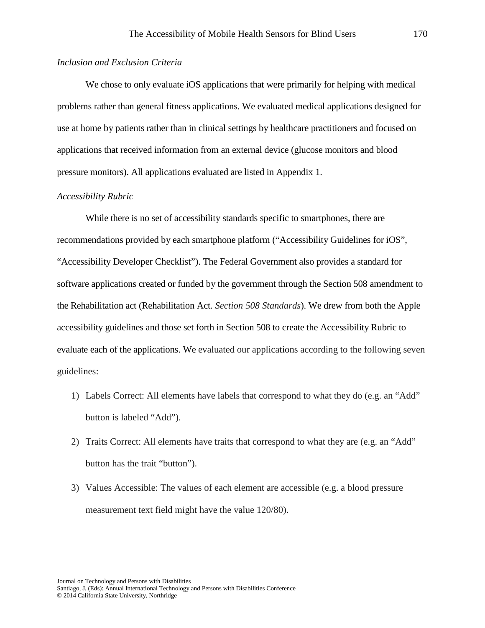## *Inclusion and Exclusion Criteria*

We chose to only evaluate iOS applications that were primarily for helping with medical problems rather than general fitness applications. We evaluated medical applications designed for use at home by patients rather than in clinical settings by healthcare practitioners and focused on applications that received information from an external device (glucose monitors and blood pressure monitors). All applications evaluated are listed in Appendix 1.

## *Accessibility Rubric*

While there is no set of accessibility standards specific to smartphones, there are recommendations provided by each smartphone platform ("Accessibility Guidelines for iOS", "Accessibility Developer Checklist"). The Federal Government also provides a standard for software applications created or funded by the government through the Section 508 amendment to the Rehabilitation act (Rehabilitation Act. *Section 508 Standards*). We drew from both the Apple accessibility guidelines and those set forth in Section 508 to create the Accessibility Rubric to evaluate each of the applications. We evaluated our applications according to the following seven guidelines:

- 1) Labels Correct: All elements have labels that correspond to what they do (e.g. an "Add" button is labeled "Add").
- 2) Traits Correct: All elements have traits that correspond to what they are (e.g. an "Add" button has the trait "button").
- 3) Values Accessible: The values of each element are accessible (e.g. a blood pressure measurement text field might have the value 120/80).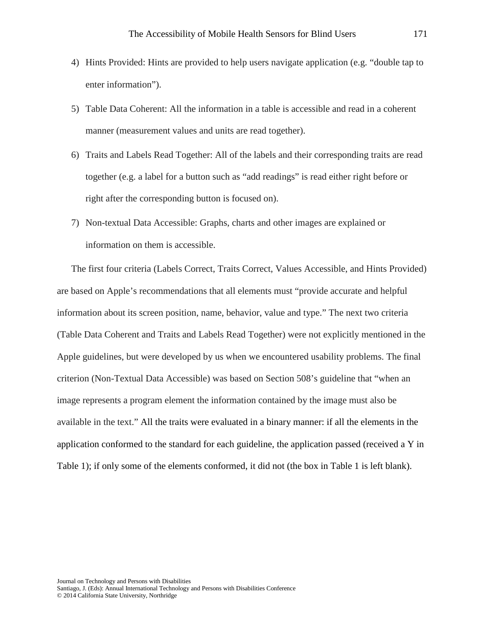- 4) Hints Provided: Hints are provided to help users navigate application (e.g. "double tap to enter information").
- 5) Table Data Coherent: All the information in a table is accessible and read in a coherent manner (measurement values and units are read together).
- 6) Traits and Labels Read Together: All of the labels and their corresponding traits are read together (e.g. a label for a button such as "add readings" is read either right before or right after the corresponding button is focused on).
- 7) Non-textual Data Accessible: Graphs, charts and other images are explained or information on them is accessible.

The first four criteria (Labels Correct, Traits Correct, Values Accessible, and Hints Provided) are based on Apple's recommendations that all elements must "provide accurate and helpful information about its screen position, name, behavior, value and type." The next two criteria (Table Data Coherent and Traits and Labels Read Together) were not explicitly mentioned in the Apple guidelines, but were developed by us when we encountered usability problems. The final criterion (Non-Textual Data Accessible) was based on Section 508's guideline that "when an image represents a program element the information contained by the image must also be available in the text." All the traits were evaluated in a binary manner: if all the elements in the application conformed to the standard for each guideline, the application passed (received a Y in Table 1); if only some of the elements conformed, it did not (the box in Table 1 is left blank).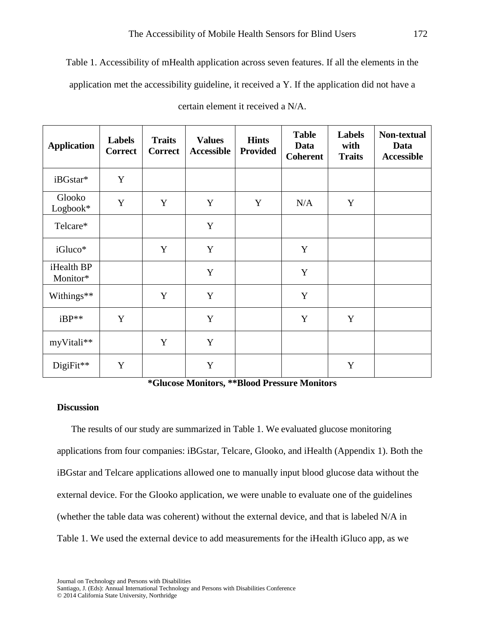Table 1. Accessibility of mHealth application across seven features. If all the elements in the application met the accessibility guideline, it received a Y. If the application did not have a

| <b>Application</b>     | <b>Labels</b><br><b>Correct</b> | <b>Traits</b><br><b>Correct</b> | <b>Values</b><br><b>Accessible</b> | <b>Hints</b><br><b>Provided</b> | <b>Table</b><br>Data<br><b>Coherent</b> | <b>Labels</b><br>with<br><b>Traits</b> | Non-textual<br>Data<br><b>Accessible</b> |
|------------------------|---------------------------------|---------------------------------|------------------------------------|---------------------------------|-----------------------------------------|----------------------------------------|------------------------------------------|
| iBGstar*               | Y                               |                                 |                                    |                                 |                                         |                                        |                                          |
| Glooko<br>Logbook*     | Y                               | Y                               | Y                                  | Y                               | N/A                                     | Y                                      |                                          |
| Telcare*               |                                 |                                 | Y                                  |                                 |                                         |                                        |                                          |
| iGluco*                |                                 | Y                               | Y                                  |                                 | Y                                       |                                        |                                          |
| iHealth BP<br>Monitor* |                                 |                                 | Y                                  |                                 | Y                                       |                                        |                                          |
| Withings**             |                                 | Y                               | Y                                  |                                 | Y                                       |                                        |                                          |
| $iBP**$                | Y                               |                                 | Y                                  |                                 | Y                                       | Y                                      |                                          |
| myVitali**             |                                 | Y                               | Y                                  |                                 |                                         |                                        |                                          |
| DigiFit**              | Y                               |                                 | Y                                  |                                 |                                         | Y                                      |                                          |

certain element it received a N/A.

**\*Glucose Monitors, \*\*Blood Pressure Monitors**

# **Discussion**

The results of our study are summarized in Table 1. We evaluated glucose monitoring applications from four companies: iBGstar, Telcare, Glooko, and iHealth (Appendix 1). Both the iBGstar and Telcare applications allowed one to manually input blood glucose data without the external device. For the Glooko application, we were unable to evaluate one of the guidelines (whether the table data was coherent) without the external device, and that is labeled N/A in Table 1. We used the external device to add measurements for the iHealth iGluco app, as we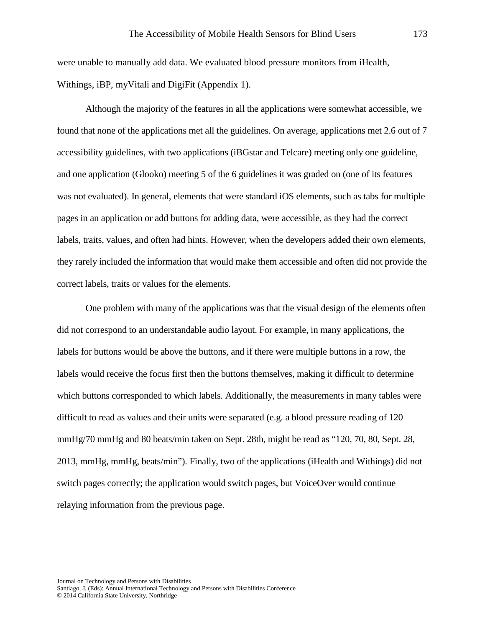were unable to manually add data. We evaluated blood pressure monitors from iHealth, Withings, iBP, myVitali and DigiFit (Appendix 1).

Although the majority of the features in all the applications were somewhat accessible, we found that none of the applications met all the guidelines. On average, applications met 2.6 out of 7 accessibility guidelines, with two applications (iBGstar and Telcare) meeting only one guideline, and one application (Glooko) meeting 5 of the 6 guidelines it was graded on (one of its features was not evaluated). In general, elements that were standard iOS elements, such as tabs for multiple pages in an application or add buttons for adding data, were accessible, as they had the correct labels, traits, values, and often had hints. However, when the developers added their own elements, they rarely included the information that would make them accessible and often did not provide the correct labels, traits or values for the elements.

One problem with many of the applications was that the visual design of the elements often did not correspond to an understandable audio layout. For example, in many applications, the labels for buttons would be above the buttons, and if there were multiple buttons in a row, the labels would receive the focus first then the buttons themselves, making it difficult to determine which buttons corresponded to which labels. Additionally, the measurements in many tables were difficult to read as values and their units were separated (e.g. a blood pressure reading of 120 mmHg/70 mmHg and 80 beats/min taken on Sept. 28th, might be read as "120, 70, 80, Sept. 28, 2013, mmHg, mmHg, beats/min"). Finally, two of the applications (iHealth and Withings) did not switch pages correctly; the application would switch pages, but VoiceOver would continue relaying information from the previous page.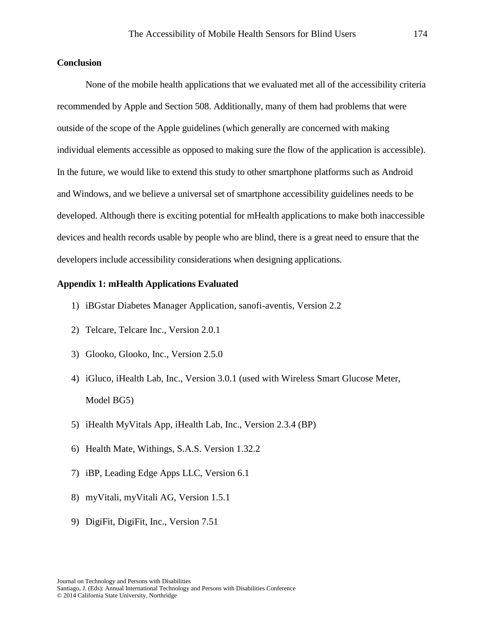# **Conclusion**

None of the mobile health applications that we evaluated met all of the accessibility criteria recommended by Apple and Section 508. Additionally, many of them had problems that were outside of the scope of the Apple guidelines (which generally are concerned with making individual elements accessible as opposed to making sure the flow of the application is accessible). In the future, we would like to extend this study to other smartphone platforms such as Android and Windows, and we believe a universal set of smartphone accessibility guidelines needs to be developed. Although there is exciting potential for mHealth applications to make both inaccessible devices and health records usable by people who are blind, there is a great need to ensure that the developers include accessibility considerations when designing applications.

# **Appendix 1: mHealth Applications Evaluated**

- 1) iBGstar Diabetes Manager Application, sanofi-aventis, Version 2.2
- 2) Telcare, Telcare Inc., Version 2.0.1
- 3) Glooko, Glooko, Inc., Version 2.5.0
- 4) iGluco, iHealth Lab, Inc., Version 3.0.1 (used with Wireless Smart Glucose Meter, Model BG5)
- 5) iHealth MyVitals App, iHealth Lab, Inc., Version 2.3.4 (BP)
- 6) Health Mate, Withings, S.A.S. Version 1.32.2
- 7) iBP, Leading Edge Apps LLC, Version 6.1
- 8) myVitali, myVitali AG, Version 1.5.1
- 9) DigiFit, DigiFit, Inc., Version 7.51